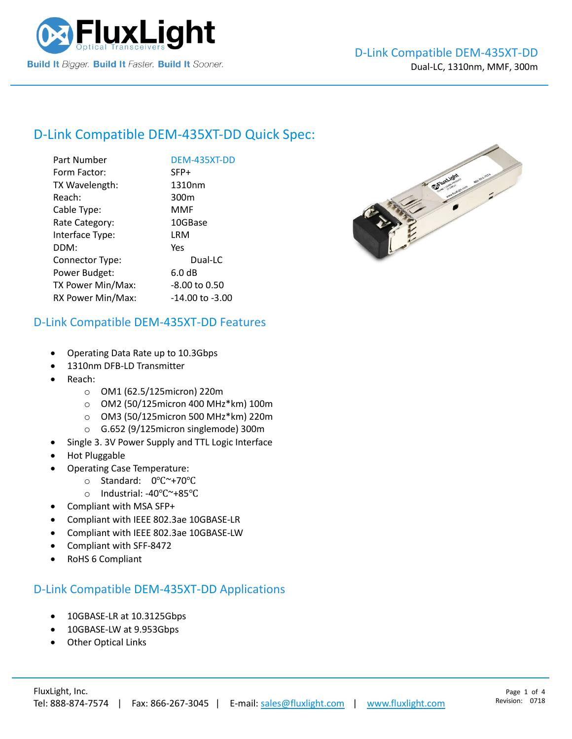

# D-Link Compatible [DEM-435XT-DD](https://www.fluxlight.com/) Quick Spec:

| Part Number       | DEM-435XT-DD      |
|-------------------|-------------------|
| Form Factor:      | SFP+              |
| TX Wavelength:    | 1310nm            |
| Reach:            | 300 <sub>m</sub>  |
| Cable Type:       | <b>MMF</b>        |
| Rate Category:    | 10GBase           |
| Interface Type:   | LRM               |
| DDM:              | Yes               |
| Connector Type:   | Dual-LC           |
| Power Budget:     | 6.0 <sub>dB</sub> |
| TX Power Min/Max: | -8.00 to 0.50     |
| RX Power Min/Max: | -14.00 to -3.00   |



#### D-Link Compatible [DEM-435XT-DD](https://www.fluxlight.com/) Features

- Operating Data Rate up to 10.3Gbps
- 1310nm DFB-LD Transmitter
- Reach:
	- o OM1 (62.5/125micron) 220m
	- o OM2 (50/125micron 400 MHz\*km) 100m
	- o OM3 (50/125micron 500 MHz\*km) 220m
	- o G.652 (9/125micron singlemode) 300m
- Single 3. 3V Power Supply and TTL Logic Interface
- Hot Pluggable
- Operating Case Temperature:
	- o Standard: 0℃~+70℃
	- o Industrial: -40℃~+85℃
- Compliant with MSA SFP+
- Compliant with IEEE 802.3ae 10GBASE-LR
- Compliant with IEEE 802.3ae 10GBASE-LW
- Compliant with SFF-8472
- RoHS 6 Compliant

#### D-Link Compatible [DEM-435XT-DD](https://www.fluxlight.com/) Applications

- 10GBASE-LR at 10.3125Gbps
- 10GBASE-LW at 9.953Gbps
- **Other Optical Links**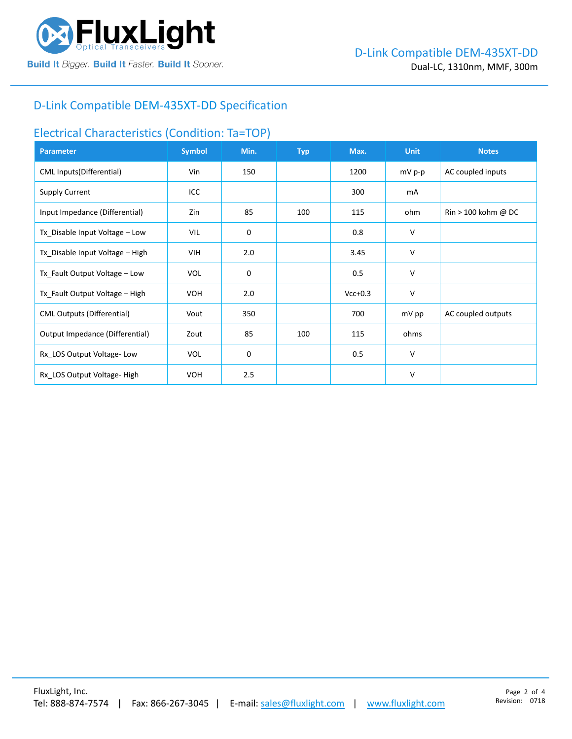

### D-Link Compatible [DEM-435XT-DD](https://www.fluxlight.com/) Specification

#### Electrical Characteristics (Condition: Ta=TOP)

| <b>Parameter</b>                  | <b>Symbol</b> | Min. | <b>Typ</b> | Max.      | <b>Unit</b> | <b>Notes</b>                          |
|-----------------------------------|---------------|------|------------|-----------|-------------|---------------------------------------|
| CML Inputs(Differential)          | Vin           | 150  |            | 1200      | mV p-p      | AC coupled inputs                     |
| <b>Supply Current</b>             | ICC           |      |            | 300       | mA          |                                       |
| Input Impedance (Differential)    | Zin           | 85   | 100        | 115       | ohm         | $\text{Rin} > 100 \text{ kohm } @$ DC |
| Tx_Disable Input Voltage - Low    | VIL           | 0    |            | 0.8       | V           |                                       |
| Tx_Disable Input Voltage - High   | VIH           | 2.0  |            | 3.45      | V           |                                       |
| Tx_Fault Output Voltage - Low     | <b>VOL</b>    | 0    |            | 0.5       | V           |                                       |
| Tx_Fault Output Voltage - High    | <b>VOH</b>    | 2.0  |            | $Vcc+0.3$ | v           |                                       |
| <b>CML Outputs (Differential)</b> | Vout          | 350  |            | 700       | mV pp       | AC coupled outputs                    |
| Output Impedance (Differential)   | Zout          | 85   | 100        | 115       | ohms        |                                       |
| Rx_LOS Output Voltage-Low         | <b>VOL</b>    | 0    |            | 0.5       | v           |                                       |
| Rx LOS Output Voltage-High        | <b>VOH</b>    | 2.5  |            |           | V           |                                       |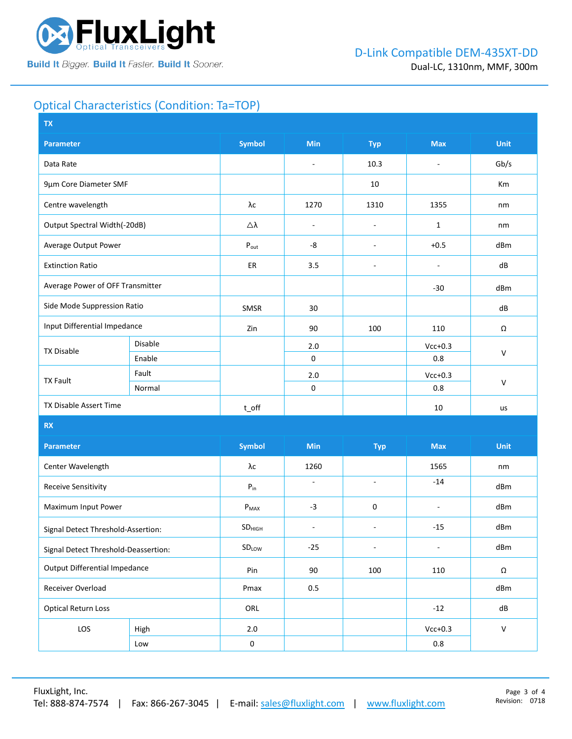

## Optical Characteristics (Condition: Ta=TOP)

| <b>Symbol</b><br>Min<br><b>Unit</b><br><b>Max</b><br><b>Parameter</b><br><b>Typ</b><br>Data Rate<br>10.3<br>Gb/s<br>$\overline{\phantom{a}}$<br>÷,<br>9µm Core Diameter SMF<br>10<br>Km<br>Centre wavelength<br>λс<br>1270<br>1310<br>1355<br>nm<br>Output Spectral Width(-20dB)<br>Δλ<br>1<br>nm<br>÷,<br>$\overline{\phantom{a}}$<br>Average Output Power<br>-8<br>$+0.5$<br>dBm<br>$P_{\text{out}}$<br>$\overline{\phantom{a}}$<br>3.5<br><b>Extinction Ratio</b><br>ER<br>dB<br>÷,<br>$\overline{\phantom{a}}$<br>Average Power of OFF Transmitter<br>$-30$<br>dBm<br>Side Mode Suppression Ratio<br>SMSR<br>30<br>dB<br>Input Differential Impedance<br>Zin<br>90<br>100<br>110<br>Ω<br>Disable<br>2.0<br>$Vcc+0.3$<br><b>TX Disable</b><br>$\vee$<br>$\pmb{0}$<br>Enable<br>0.8<br>Fault<br>$2.0$<br>$Vcc+0.3$<br><b>TX Fault</b><br>$\mathsf{V}$<br>$\mathbf 0$<br>Normal<br>0.8<br>TX Disable Assert Time<br>10<br>$t$ <sub>O</sub> ff<br>us<br>RX<br><b>Symbol</b><br>Min<br><b>Unit</b><br><b>Max</b><br><b>Parameter</b><br><b>Typ</b><br>Center Wavelength<br>λс<br>1260<br>1565<br>nm<br>$-14$<br>ä,<br>$\omega$<br><b>Receive Sensitivity</b><br>${\sf P}_{\sf in}$<br>dBm<br>Maximum Input Power<br>$-3$<br>0<br>dBm<br>$P_{MAX}$<br>$\blacksquare$<br>$-15$<br>dBm<br>SD <sub>HIGH</sub><br>$\overline{a}$<br>÷,<br>Signal Detect Threshold-Assertion:<br>dBm<br>SDLOW<br>$-25$<br>$\overline{\phantom{a}}$<br>$\overline{\phantom{a}}$<br>Signal Detect Threshold-Deassertion:<br><b>Output Differential Impedance</b><br>Pin<br>90<br>100<br>110<br>$\Omega$<br>Receiver Overload<br>Pmax<br>0.5<br>dBm<br><b>Optical Return Loss</b><br>ORL<br>dB<br>$-12$<br>LOS<br>$Vcc+0.3$<br>$\mathsf{V}$<br>$2.0\,$<br>High<br>$0.8\,$<br>$\pmb{0}$<br>Low | <b>TX</b> |  |  |  |  |  |  |  |
|---------------------------------------------------------------------------------------------------------------------------------------------------------------------------------------------------------------------------------------------------------------------------------------------------------------------------------------------------------------------------------------------------------------------------------------------------------------------------------------------------------------------------------------------------------------------------------------------------------------------------------------------------------------------------------------------------------------------------------------------------------------------------------------------------------------------------------------------------------------------------------------------------------------------------------------------------------------------------------------------------------------------------------------------------------------------------------------------------------------------------------------------------------------------------------------------------------------------------------------------------------------------------------------------------------------------------------------------------------------------------------------------------------------------------------------------------------------------------------------------------------------------------------------------------------------------------------------------------------------------------------------------------------------------------------------------------------------------------------------------------------------------|-----------|--|--|--|--|--|--|--|
|                                                                                                                                                                                                                                                                                                                                                                                                                                                                                                                                                                                                                                                                                                                                                                                                                                                                                                                                                                                                                                                                                                                                                                                                                                                                                                                                                                                                                                                                                                                                                                                                                                                                                                                                                                     |           |  |  |  |  |  |  |  |
|                                                                                                                                                                                                                                                                                                                                                                                                                                                                                                                                                                                                                                                                                                                                                                                                                                                                                                                                                                                                                                                                                                                                                                                                                                                                                                                                                                                                                                                                                                                                                                                                                                                                                                                                                                     |           |  |  |  |  |  |  |  |
|                                                                                                                                                                                                                                                                                                                                                                                                                                                                                                                                                                                                                                                                                                                                                                                                                                                                                                                                                                                                                                                                                                                                                                                                                                                                                                                                                                                                                                                                                                                                                                                                                                                                                                                                                                     |           |  |  |  |  |  |  |  |
|                                                                                                                                                                                                                                                                                                                                                                                                                                                                                                                                                                                                                                                                                                                                                                                                                                                                                                                                                                                                                                                                                                                                                                                                                                                                                                                                                                                                                                                                                                                                                                                                                                                                                                                                                                     |           |  |  |  |  |  |  |  |
|                                                                                                                                                                                                                                                                                                                                                                                                                                                                                                                                                                                                                                                                                                                                                                                                                                                                                                                                                                                                                                                                                                                                                                                                                                                                                                                                                                                                                                                                                                                                                                                                                                                                                                                                                                     |           |  |  |  |  |  |  |  |
|                                                                                                                                                                                                                                                                                                                                                                                                                                                                                                                                                                                                                                                                                                                                                                                                                                                                                                                                                                                                                                                                                                                                                                                                                                                                                                                                                                                                                                                                                                                                                                                                                                                                                                                                                                     |           |  |  |  |  |  |  |  |
|                                                                                                                                                                                                                                                                                                                                                                                                                                                                                                                                                                                                                                                                                                                                                                                                                                                                                                                                                                                                                                                                                                                                                                                                                                                                                                                                                                                                                                                                                                                                                                                                                                                                                                                                                                     |           |  |  |  |  |  |  |  |
|                                                                                                                                                                                                                                                                                                                                                                                                                                                                                                                                                                                                                                                                                                                                                                                                                                                                                                                                                                                                                                                                                                                                                                                                                                                                                                                                                                                                                                                                                                                                                                                                                                                                                                                                                                     |           |  |  |  |  |  |  |  |
|                                                                                                                                                                                                                                                                                                                                                                                                                                                                                                                                                                                                                                                                                                                                                                                                                                                                                                                                                                                                                                                                                                                                                                                                                                                                                                                                                                                                                                                                                                                                                                                                                                                                                                                                                                     |           |  |  |  |  |  |  |  |
|                                                                                                                                                                                                                                                                                                                                                                                                                                                                                                                                                                                                                                                                                                                                                                                                                                                                                                                                                                                                                                                                                                                                                                                                                                                                                                                                                                                                                                                                                                                                                                                                                                                                                                                                                                     |           |  |  |  |  |  |  |  |
|                                                                                                                                                                                                                                                                                                                                                                                                                                                                                                                                                                                                                                                                                                                                                                                                                                                                                                                                                                                                                                                                                                                                                                                                                                                                                                                                                                                                                                                                                                                                                                                                                                                                                                                                                                     |           |  |  |  |  |  |  |  |
|                                                                                                                                                                                                                                                                                                                                                                                                                                                                                                                                                                                                                                                                                                                                                                                                                                                                                                                                                                                                                                                                                                                                                                                                                                                                                                                                                                                                                                                                                                                                                                                                                                                                                                                                                                     |           |  |  |  |  |  |  |  |
|                                                                                                                                                                                                                                                                                                                                                                                                                                                                                                                                                                                                                                                                                                                                                                                                                                                                                                                                                                                                                                                                                                                                                                                                                                                                                                                                                                                                                                                                                                                                                                                                                                                                                                                                                                     |           |  |  |  |  |  |  |  |
|                                                                                                                                                                                                                                                                                                                                                                                                                                                                                                                                                                                                                                                                                                                                                                                                                                                                                                                                                                                                                                                                                                                                                                                                                                                                                                                                                                                                                                                                                                                                                                                                                                                                                                                                                                     |           |  |  |  |  |  |  |  |
|                                                                                                                                                                                                                                                                                                                                                                                                                                                                                                                                                                                                                                                                                                                                                                                                                                                                                                                                                                                                                                                                                                                                                                                                                                                                                                                                                                                                                                                                                                                                                                                                                                                                                                                                                                     |           |  |  |  |  |  |  |  |
|                                                                                                                                                                                                                                                                                                                                                                                                                                                                                                                                                                                                                                                                                                                                                                                                                                                                                                                                                                                                                                                                                                                                                                                                                                                                                                                                                                                                                                                                                                                                                                                                                                                                                                                                                                     |           |  |  |  |  |  |  |  |
|                                                                                                                                                                                                                                                                                                                                                                                                                                                                                                                                                                                                                                                                                                                                                                                                                                                                                                                                                                                                                                                                                                                                                                                                                                                                                                                                                                                                                                                                                                                                                                                                                                                                                                                                                                     |           |  |  |  |  |  |  |  |
|                                                                                                                                                                                                                                                                                                                                                                                                                                                                                                                                                                                                                                                                                                                                                                                                                                                                                                                                                                                                                                                                                                                                                                                                                                                                                                                                                                                                                                                                                                                                                                                                                                                                                                                                                                     |           |  |  |  |  |  |  |  |
|                                                                                                                                                                                                                                                                                                                                                                                                                                                                                                                                                                                                                                                                                                                                                                                                                                                                                                                                                                                                                                                                                                                                                                                                                                                                                                                                                                                                                                                                                                                                                                                                                                                                                                                                                                     |           |  |  |  |  |  |  |  |
|                                                                                                                                                                                                                                                                                                                                                                                                                                                                                                                                                                                                                                                                                                                                                                                                                                                                                                                                                                                                                                                                                                                                                                                                                                                                                                                                                                                                                                                                                                                                                                                                                                                                                                                                                                     |           |  |  |  |  |  |  |  |
|                                                                                                                                                                                                                                                                                                                                                                                                                                                                                                                                                                                                                                                                                                                                                                                                                                                                                                                                                                                                                                                                                                                                                                                                                                                                                                                                                                                                                                                                                                                                                                                                                                                                                                                                                                     |           |  |  |  |  |  |  |  |
|                                                                                                                                                                                                                                                                                                                                                                                                                                                                                                                                                                                                                                                                                                                                                                                                                                                                                                                                                                                                                                                                                                                                                                                                                                                                                                                                                                                                                                                                                                                                                                                                                                                                                                                                                                     |           |  |  |  |  |  |  |  |
|                                                                                                                                                                                                                                                                                                                                                                                                                                                                                                                                                                                                                                                                                                                                                                                                                                                                                                                                                                                                                                                                                                                                                                                                                                                                                                                                                                                                                                                                                                                                                                                                                                                                                                                                                                     |           |  |  |  |  |  |  |  |
|                                                                                                                                                                                                                                                                                                                                                                                                                                                                                                                                                                                                                                                                                                                                                                                                                                                                                                                                                                                                                                                                                                                                                                                                                                                                                                                                                                                                                                                                                                                                                                                                                                                                                                                                                                     |           |  |  |  |  |  |  |  |
|                                                                                                                                                                                                                                                                                                                                                                                                                                                                                                                                                                                                                                                                                                                                                                                                                                                                                                                                                                                                                                                                                                                                                                                                                                                                                                                                                                                                                                                                                                                                                                                                                                                                                                                                                                     |           |  |  |  |  |  |  |  |
|                                                                                                                                                                                                                                                                                                                                                                                                                                                                                                                                                                                                                                                                                                                                                                                                                                                                                                                                                                                                                                                                                                                                                                                                                                                                                                                                                                                                                                                                                                                                                                                                                                                                                                                                                                     |           |  |  |  |  |  |  |  |
|                                                                                                                                                                                                                                                                                                                                                                                                                                                                                                                                                                                                                                                                                                                                                                                                                                                                                                                                                                                                                                                                                                                                                                                                                                                                                                                                                                                                                                                                                                                                                                                                                                                                                                                                                                     |           |  |  |  |  |  |  |  |